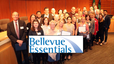# Bellevue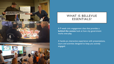

#### WHAT IS BELLEVUE ESSENTIALS?

A 9 week civic engagement class that provides a **behind the scenes** look at how city government works everyday.

A hands-on, interactive experience with presentations, tours and activities designed to keep you actively engaged.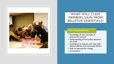

### WHAT WILL CLASS MEMBERS GAIN FROM BELLEVUE ESSENTIALS?

#### They will graduate with:

- Knowledge of nuts and bolts of government process
- Understanding of how policy decisions are made
- Confidence to interact with City staff, elected officials and community leaders
- Skills to advocate for change
- Connections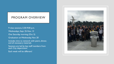#### PROGRAM OVERVIEW

9 class sessions, 5:30-9:00 p.m.

Wednesdays, Sept. 25-Nov. 13

One Saturday morning (Oct. 5)

Graduation on Wednesday, Nov. 20

Includes time to network with peers, dinner, and all necessary materials

Sessions are led by key staff members from each City department

Each week will be different!

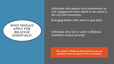Individuals with passion and commitment to civic engagement and a desire to be active in the city and community.

Emerging leaders who want to give back

WHO SHOULD

APPLY FOR

BELLEVUE

ESSENTIALS?

Individuals who live or work in Bellevue (residents receive priority)

**The mission of Bellevue Essentials is to see our graduates have an impact in the community.**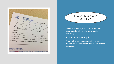| $B$ elle $_{\rm V}$<br>ramp to Civic Leadership<br>Name<br>Home Address           | 2019 BELLEVUE ES' |
|-----------------------------------------------------------------------------------|-------------------|
| City_<br>Phone_                                                                   |                   |
|                                                                                   | State             |
| Are you a Bellevue resident? O Yes O No Do you work in Bellevue? DY<br>(optional) |                   |
| Gender                                                                            |                   |
|                                                                                   |                   |
| Tuition is \$125 and includes dinner and all materials. Financial assistan        |                   |
|                                                                                   |                   |



Submit the one-page application and two essay questions in writing or by audio recording.

Applications are due Aug. 2

A fee waiver can be requested by checking the box on the application and has no bearing on acceptance.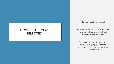#### HOW IS THE CLASS SELECTED?

35 class members selected

Bellevue Essentials cohort is selected by a committee of city staff and Bellevue Essentials alumni

The committee strives to create a class that is geographically and demographically representative of the community